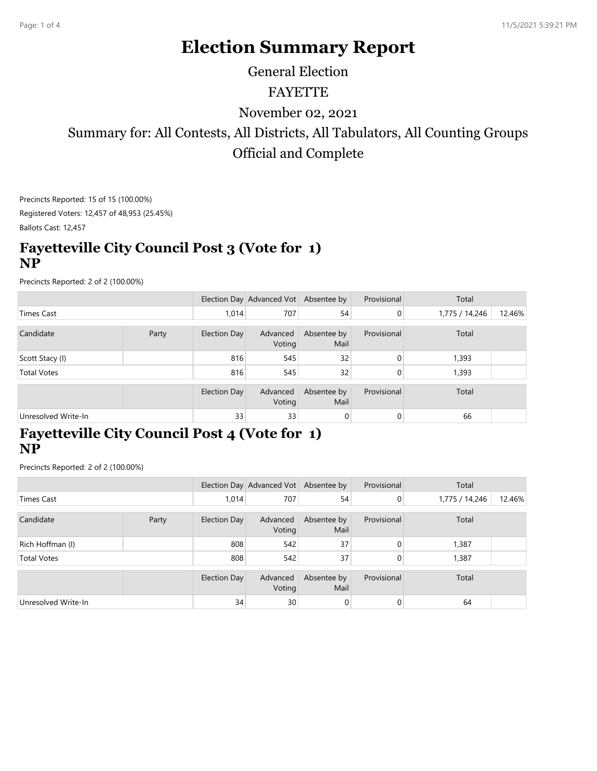# **Election Summary Report**

General Election

#### FAYETTE

November 02, 2021

Summary for: All Contests, All Districts, All Tabulators, All Counting Groups Official and Complete

Precincts Reported: 15 of 15 (100.00%) Registered Voters: 12,457 of 48,953 (25.45%)

Ballots Cast: 12,457

#### **Fayetteville City Council Post 3 (Vote for 1) NP**

Precincts Reported: 2 of 2 (100.00%)

|                     |       |              | Election Day Advanced Vot Absentee by |                     | Provisional | Total          |        |
|---------------------|-------|--------------|---------------------------------------|---------------------|-------------|----------------|--------|
| Times Cast          |       | 1.014        | 707                                   | 54                  | 0           | 1,775 / 14,246 | 12.46% |
|                     |       |              |                                       |                     |             |                |        |
| Candidate           | Party | Election Day | Advanced<br>Voting                    | Absentee by<br>Mail | Provisional | Total          |        |
| Scott Stacy (I)     |       | 816          | 545                                   | 32                  | 0           | 1,393          |        |
| <b>Total Votes</b>  |       | 816          | 545                                   | 32                  | 0           | 1,393          |        |
|                     |       | Election Day | Advanced<br>Voting                    | Absentee by<br>Mail | Provisional | Total          |        |
| Unresolved Write-In |       | 33           | 33                                    | 0                   | 0           | 66             |        |

# **Fayetteville City Council Post 4 (Vote for 1) NP**

Precincts Reported: 2 of 2 (100.00%)

|                     |       |              | Election Day Advanced Vot Absentee by |                     | Provisional    | Total          |        |
|---------------------|-------|--------------|---------------------------------------|---------------------|----------------|----------------|--------|
| Times Cast          |       | 1,014        | 707                                   | 54                  | $\overline{0}$ | 1,775 / 14,246 | 12.46% |
| Candidate           | Party | Election Day | Advanced<br>Voting                    | Absentee by<br>Mail | Provisional    | Total          |        |
| Rich Hoffman (I)    |       | 808          | 542                                   | 37                  | $\Omega$       | 1,387          |        |
| <b>Total Votes</b>  |       | 808          | 542                                   | 37                  | $\overline{0}$ | 1,387          |        |
|                     |       | Election Day | Advanced<br>Voting                    | Absentee by<br>Mail | Provisional    | Total          |        |
| Unresolved Write-In |       | 34           | 30                                    | 0                   | $\overline{0}$ | 64             |        |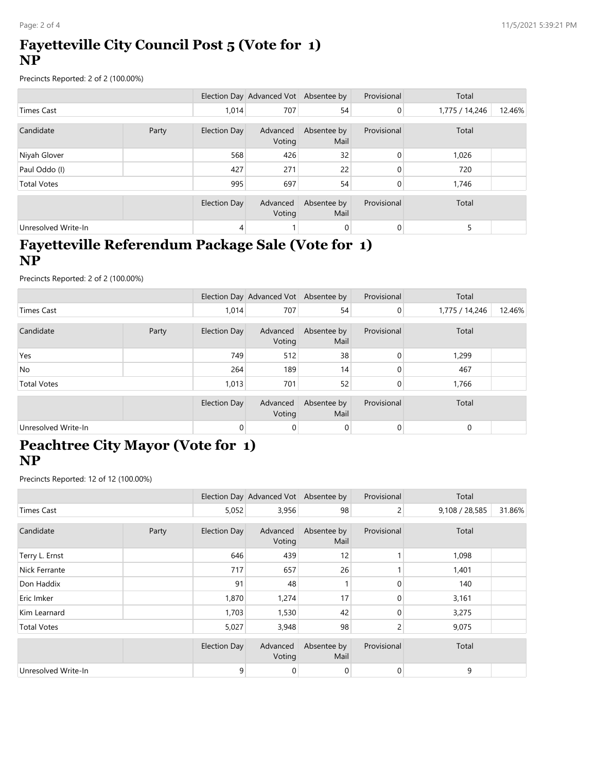#### **Fayetteville City Council Post 5 (Vote for 1) NP**

Precincts Reported: 2 of 2 (100.00%)

|                     |       |              | Election Day Advanced Vot Absentee by |                     | Provisional    | Total          |        |
|---------------------|-------|--------------|---------------------------------------|---------------------|----------------|----------------|--------|
| Times Cast          |       | 1,014        | 707                                   | 54                  | $\overline{0}$ | 1,775 / 14,246 | 12.46% |
|                     |       |              |                                       |                     |                |                |        |
| Candidate           | Party | Election Day | Advanced<br>Voting                    | Absentee by<br>Mail | Provisional    | Total          |        |
| Niyah Glover        |       | 568          | 426                                   | 32                  | 0              | 1,026          |        |
| Paul Oddo (I)       |       | 427          | 271                                   | 22                  | 0              | 720            |        |
| <b>Total Votes</b>  |       | 995          | 697                                   | 54                  | 0              | 1,746          |        |
|                     |       | Election Day | Advanced<br>Voting                    | Absentee by<br>Mail | Provisional    | Total          |        |
| Unresolved Write-In |       | 4            |                                       | 0                   | 0              | 5              |        |

#### **Fayetteville Referendum Package Sale (Vote for 1) NP**

Precincts Reported: 2 of 2 (100.00%)

|                     |       |                | Election Day Advanced Vot Absentee by |                     | Provisional | Total          |        |
|---------------------|-------|----------------|---------------------------------------|---------------------|-------------|----------------|--------|
| Times Cast          |       | 1,014          | 707                                   | 54                  | 0           | 1,775 / 14,246 | 12.46% |
| Candidate           | Party | Election Day   | Advanced<br>Voting                    | Absentee by<br>Mail | Provisional | Total          |        |
| Yes                 |       | 749            | 512                                   | 38                  | 0           | 1,299          |        |
| No.                 |       | 264            | 189                                   | 14 <sub>1</sub>     |             | 467            |        |
| <b>Total Votes</b>  |       | 1,013          | 701                                   | 52                  | 0           | 1,766          |        |
|                     |       | Election Day   | Advanced<br>Voting                    | Absentee by<br>Mail | Provisional | Total          |        |
| Unresolved Write-In |       | $\overline{0}$ | 0                                     | $\overline{0}$      | 0           | $\mathbf 0$    |        |

#### **Peachtree City Mayor (Vote for 1) NP**

Precincts Reported: 12 of 12 (100.00%)

|                      |       |                     | Election Day Advanced Vot Absentee by |                     | Provisional    | Total          |        |
|----------------------|-------|---------------------|---------------------------------------|---------------------|----------------|----------------|--------|
| <b>Times Cast</b>    |       | 5,052               | 3,956                                 | 98                  | $\overline{2}$ | 9,108 / 28,585 | 31.86% |
| Candidate            | Party | <b>Election Day</b> | Advanced<br>Voting                    | Absentee by<br>Mail | Provisional    | Total          |        |
| Terry L. Ernst       |       | 646                 | 439                                   | 12                  |                | 1,098          |        |
| <b>Nick Ferrante</b> |       | 717                 | 657                                   | 26                  |                | 1,401          |        |
| Don Haddix           |       | 91                  | 48                                    |                     | 0              | 140            |        |
| Eric Imker           |       | 1,870               | 1,274                                 | 17                  | $\Omega$       | 3,161          |        |
| Kim Learnard         |       | 1,703               | 1,530                                 | 42                  | $\Omega$       | 3,275          |        |
| <b>Total Votes</b>   |       | 5,027               | 3,948                                 | 98                  | 2              | 9,075          |        |
|                      |       | <b>Election Day</b> | Advanced<br>Voting                    | Absentee by<br>Mail | Provisional    | Total          |        |
| Unresolved Write-In  |       | 9                   | 0                                     | $\mathbf 0$         | 0              | 9              |        |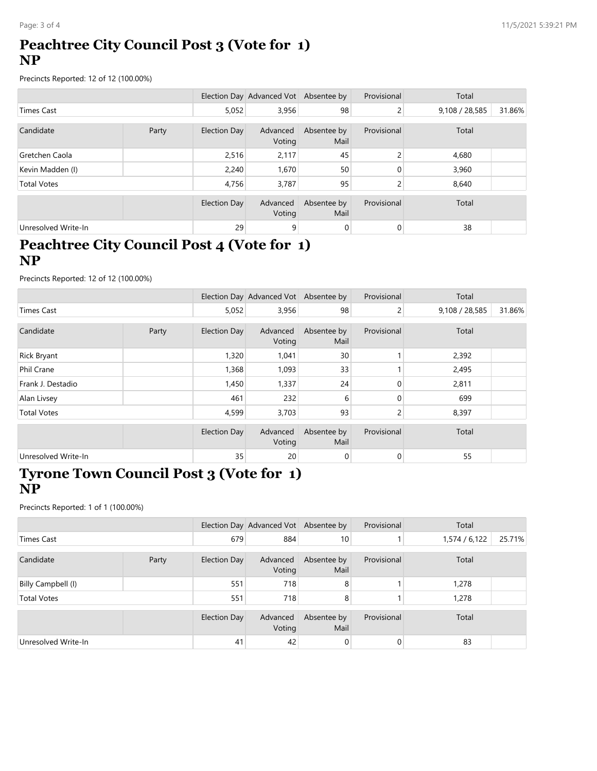## **Peachtree City Council Post 3 (Vote for 1) NP**

Precincts Reported: 12 of 12 (100.00%)

|                     |       |                     | Election Day Advanced Vot Absentee by |                     | Provisional | Total          |        |
|---------------------|-------|---------------------|---------------------------------------|---------------------|-------------|----------------|--------|
| Times Cast          |       | 5,052               | 3,956                                 | 98                  | 2           | 9,108 / 28,585 | 31.86% |
|                     |       |                     |                                       |                     |             |                |        |
| Candidate           | Party | Election Day        | Advanced<br>Voting                    | Absentee by<br>Mail | Provisional | Total          |        |
| Gretchen Caola      |       | 2,516               | 2,117                                 | 45                  | 2           | 4,680          |        |
| Kevin Madden (I)    |       | 2,240               | 1,670                                 | 50                  | 0           | 3,960          |        |
| <b>Total Votes</b>  |       | 4.756               | 3,787                                 | 95                  | 2           | 8,640          |        |
|                     |       |                     |                                       |                     |             |                |        |
|                     |       | <b>Election Day</b> | Advanced<br>Voting                    | Absentee by<br>Mail | Provisional | Total          |        |
| Unresolved Write-In |       | 29                  | 9                                     | 0                   | 0           | 38             |        |

### **Peachtree City Council Post 4 (Vote for 1) NP**

Precincts Reported: 12 of 12 (100.00%)

|                     |       |                     | Election Day Advanced Vot Absentee by |                     | Provisional | Total          |        |
|---------------------|-------|---------------------|---------------------------------------|---------------------|-------------|----------------|--------|
| Times Cast          |       | 5,052               | 3,956                                 | 98                  | 2           | 9,108 / 28,585 | 31.86% |
|                     |       |                     |                                       |                     |             |                |        |
| Candidate           | Party | <b>Election Day</b> | Advanced<br>Voting                    | Absentee by<br>Mail | Provisional | Total          |        |
| <b>Rick Bryant</b>  |       | 1,320               | 1,041                                 | 30                  |             | 2,392          |        |
| Phil Crane          |       | 1,368               | 1,093                                 | 33                  |             | 2,495          |        |
| Frank J. Destadio   |       | 1,450               | 1,337                                 | 24                  | 0           | 2,811          |        |
| Alan Livsey         |       | 461                 | 232                                   | 6                   | 0           | 699            |        |
| <b>Total Votes</b>  |       | 4,599               | 3,703                                 | 93                  | 2           | 8,397          |        |
|                     |       | <b>Election Day</b> | Advanced<br>Voting                    | Absentee by<br>Mail | Provisional | Total          |        |
| Unresolved Write-In |       | 35                  | 20                                    | 0                   | 0           | 55             |        |

#### **Tyrone Town Council Post 3 (Vote for 1) NP**

Precincts Reported: 1 of 1 (100.00%)

|                     |       |                     | Election Day Advanced Vot Absentee by |                     | Provisional | Total         |        |
|---------------------|-------|---------------------|---------------------------------------|---------------------|-------------|---------------|--------|
| Times Cast          |       | 679                 | 884                                   | 10 <sub>1</sub>     |             | 1,574 / 6,122 | 25.71% |
| Candidate           | Party | <b>Election Day</b> | Advanced<br>Voting                    | Absentee by<br>Mail | Provisional | Total         |        |
| Billy Campbell (I)  |       | 551                 | 718                                   | 8                   |             | 1,278         |        |
| <b>Total Votes</b>  |       | 551                 | 718                                   | 8                   |             | 1,278         |        |
|                     |       | <b>Election Day</b> | Advanced<br>Voting                    | Absentee by<br>Mail | Provisional | Total         |        |
| Unresolved Write-In |       | 41                  | 42                                    | $\overline{0}$      | 0           | 83            |        |